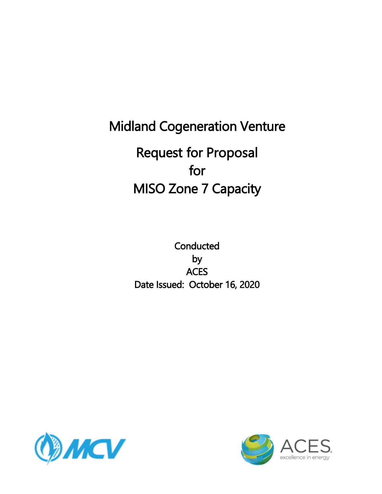# Midland Cogeneration Venture Request for Proposal for MISO Zone 7 Capacity

**Conducted** by **ACES** Date Issued: October 16, 2020



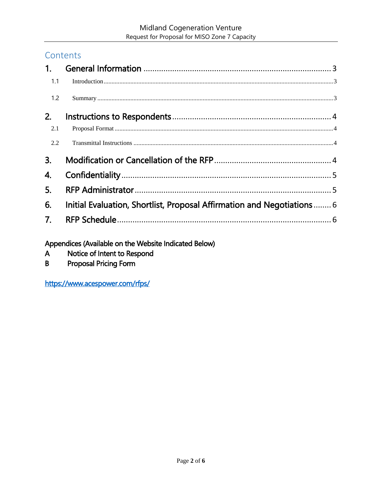#### Contents

| 1 <sub>1</sub> |                                                                         |
|----------------|-------------------------------------------------------------------------|
| 1.1            |                                                                         |
| 1.2            |                                                                         |
| 2.             |                                                                         |
| 2.1            |                                                                         |
| 2.2            |                                                                         |
| 3.             |                                                                         |
| 4.             |                                                                         |
| 5.             |                                                                         |
| 6.             | Initial Evaluation, Shortlist, Proposal Affirmation and Negotiations  6 |
| 7.             |                                                                         |
|                |                                                                         |

Appendices (Available on the Website Indicated Below)

- Notice of Intent to Respond  $\mathsf{A}$
- $\mathsf B$ **Proposal Pricing Form**

https://www.acespower.com/rfps/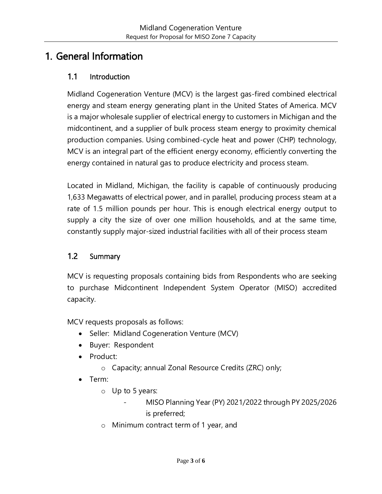### <span id="page-2-0"></span>1. General Information

#### <span id="page-2-1"></span>1.1 Introduction

Midland Cogeneration Venture (MCV) is the largest gas-fired combined electrical energy and steam energy generating plant in the United States of America. MCV is a major wholesale supplier of electrical energy to customers in Michigan and the midcontinent, and a supplier of bulk process steam energy to proximity chemical production companies. Using [combined-cycle heat and power \(CHP\) technology,](http://www.midcogen.com/combined-cycle-tech.php) MCV is an integral part of the efficient energy economy, efficiently converting the energy contained in natural gas to produce electricity and process steam.

Located in Midland, Michigan, the facility is capable of continuously producing 1,633 Megawatts of electrical power, and in parallel, producing process steam at a rate of 1.5 million pounds per hour. This is enough electrical energy output to supply a city the size of over one million households, and at the same time, constantly supply major-sized industrial facilities with all of their process steam

#### <span id="page-2-2"></span>1.2 Summary

MCV is requesting proposals containing bids from Respondents who are seeking to purchase Midcontinent Independent System Operator (MISO) accredited capacity.

MCV requests proposals as follows:

- Seller: Midland Cogeneration Venture (MCV)
- Buyer: Respondent
- Product:
	- o Capacity; annual Zonal Resource Credits (ZRC) only;
- Term:
	- o Up to 5 years:
		- MISO Planning Year (PY) 2021/2022 through PY 2025/2026 is preferred;
	- o Minimum contract term of 1 year, and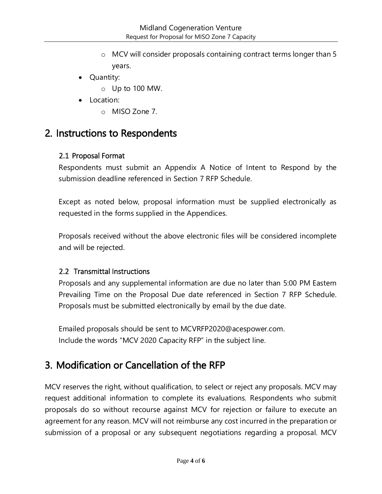- o MCV will consider proposals containing contract terms longer than 5 years.
- Quantity:
	- o Up to 100 MW.
- Location:
	- o MISO Zone 7.

### <span id="page-3-0"></span>2. Instructions to Respondents

#### <span id="page-3-1"></span>2.1 Proposal Format

Respondents must submit an Appendix A Notice of Intent to Respond by the submission deadline referenced in Section 7 RFP Schedule.

Except as noted below, proposal information must be supplied electronically as requested in the forms supplied in the Appendices.

Proposals received without the above electronic files will be considered incomplete and will be rejected.

#### <span id="page-3-2"></span>2.2 Transmittal Instructions

Proposals and any supplemental information are due no later than 5:00 PM Eastern Prevailing Time on the Proposal Due date referenced in Section 7 RFP Schedule. Proposals must be submitted electronically by email by the due date.

Emailed proposals should be sent to MCVRFP2020@acespower.com. Include the words "MCV 2020 Capacity RFP" in the subject line.

### <span id="page-3-3"></span>3. Modification or Cancellation of the RFP

MCV reserves the right, without qualification, to select or reject any proposals. MCV may request additional information to complete its evaluations. Respondents who submit proposals do so without recourse against MCV for rejection or failure to execute an agreement for any reason. MCV will not reimburse any cost incurred in the preparation or submission of a proposal or any subsequent negotiations regarding a proposal. MCV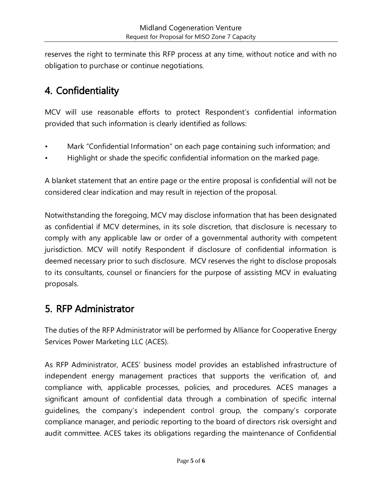reserves the right to terminate this RFP process at any time, without notice and with no obligation to purchase or continue negotiations.

### <span id="page-4-0"></span>4. Confidentiality

MCV will use reasonable efforts to protect Respondent's confidential information provided that such information is clearly identified as follows:

- Mark "Confidential Information" on each page containing such information; and
- Highlight or shade the specific confidential information on the marked page.

A blanket statement that an entire page or the entire proposal is confidential will not be considered clear indication and may result in rejection of the proposal.

Notwithstanding the foregoing, MCV may disclose information that has been designated as confidential if MCV determines, in its sole discretion, that disclosure is necessary to comply with any applicable law or order of a governmental authority with competent jurisdiction. MCV will notify Respondent if disclosure of confidential information is deemed necessary prior to such disclosure. MCV reserves the right to disclose proposals to its consultants, counsel or financiers for the purpose of assisting MCV in evaluating proposals.

### <span id="page-4-1"></span>5. RFP Administrator

The duties of the RFP Administrator will be performed by Alliance for Cooperative Energy Services Power Marketing LLC (ACES).

As RFP Administrator, ACES' business model provides an established infrastructure of independent energy management practices that supports the verification of, and compliance with, applicable processes, policies, and procedures. ACES manages a significant amount of confidential data through a combination of specific internal guidelines, the company's independent control group, the company's corporate compliance manager, and periodic reporting to the board of directors risk oversight and audit committee. ACES takes its obligations regarding the maintenance of Confidential